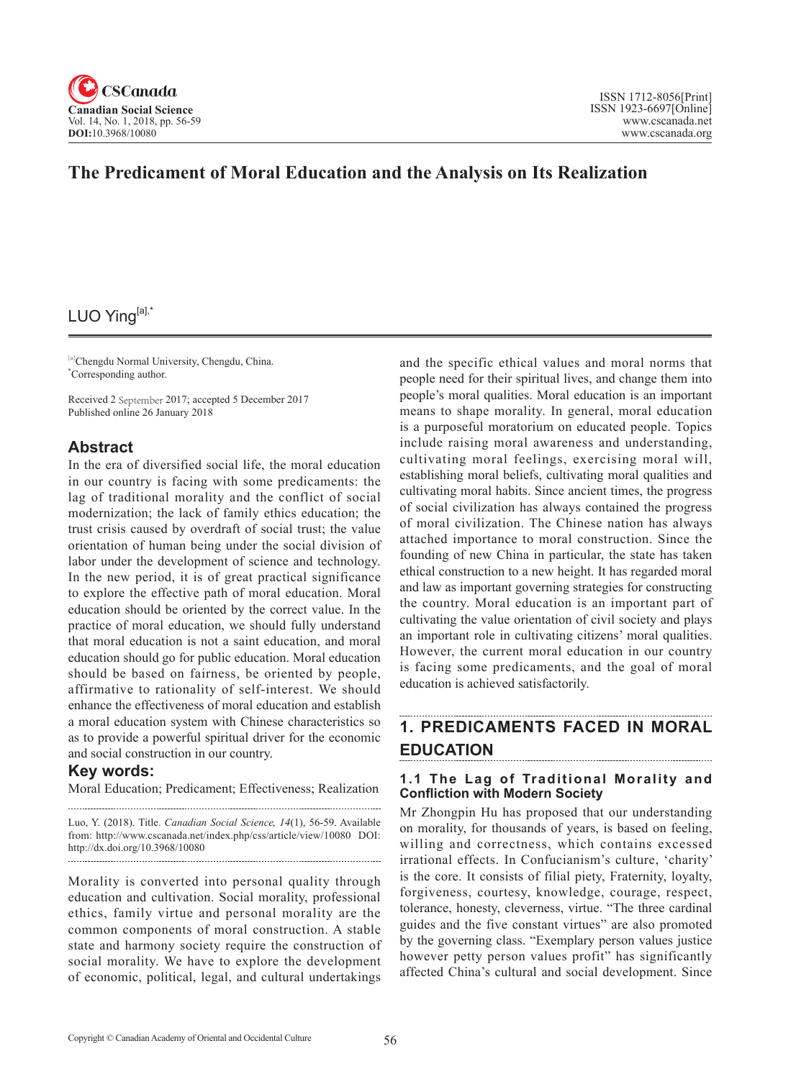

## **The Predicament of Moral Education and the Analysis on Its Realization**

# LUO Ying[a],\*

[a]Chengdu Normal University, Chengdu, China. \* Corresponding author.

Received 2 September 2017; accepted 5 December 2017 Published online 26 January 2018

### **Abstract**

In the era of diversified social life, the moral education in our country is facing with some predicaments: the lag of traditional morality and the conflict of social modernization; the lack of family ethics education; the trust crisis caused by overdraft of social trust; the value orientation of human being under the social division of labor under the development of science and technology. In the new period, it is of great practical significance to explore the effective path of moral education. Moral education should be oriented by the correct value. In the practice of moral education, we should fully understand that moral education is not a saint education, and moral education should go for public education. Moral education should be based on fairness, be oriented by people, affirmative to rationality of self-interest. We should enhance the effectiveness of moral education and establish a moral education system with Chinese characteristics so as to provide a powerful spiritual driver for the economic and social construction in our country.

## **Key words:**

Moral Education; Predicament; Effectiveness; Realization 

Luo, Y. (2018). Title. *Canadian Social Science*, <sup>14</sup>(1), 56-59. Available from: http://www.cscanada.net/index.php/css/article/view/10080 DOI: http://dx.doi.org/10.3968/10080

Morality is converted into personal quality through education and cultivation. Social morality, professional ethics, family virtue and personal morality are the common components of moral construction. A stable state and harmony society require the construction of social morality. We have to explore the development of economic, political, legal, and cultural undertakings

and the specific ethical values and moral norms that people need for their spiritual lives, and change them into people's moral qualities. Moral education is an important means to shape morality. In general, moral education is a purposeful moratorium on educated people. Topics include raising moral awareness and understanding, cultivating moral feelings, exercising moral will, establishing moral beliefs, cultivating moral qualities and cultivating moral habits. Since ancient times, the progress of social civilization has always contained the progress of moral civilization. The Chinese nation has always attached importance to moral construction. Since the founding of new China in particular, the state has taken ethical construction to a new height. It has regarded moral and law as important governing strategies for constructing the country. Moral education is an important part of cultivating the value orientation of civil society and plays an important role in cultivating citizens' moral qualities. However, the current moral education in our country is facing some predicaments, and the goal of moral education is achieved satisfactorily.

## **1. PREDICAMENTS FACED IN MORAL EDUCATION**

#### **1.1 The Lag of Traditional Morality and Confliction with Modern Society**

Mr Zhongpin Hu has proposed that our understanding on morality, for thousands of years, is based on feeling, willing and correctness, which contains excessed irrational effects. In Confucianism's culture, 'charity' is the core. It consists of filial piety, Fraternity, loyalty, forgiveness, courtesy, knowledge, courage, respect, tolerance, honesty, cleverness, virtue. "The three cardinal guides and the five constant virtues" are also promoted by the governing class. "Exemplary person values justice however petty person values profit" has significantly affected China's cultural and social development. Since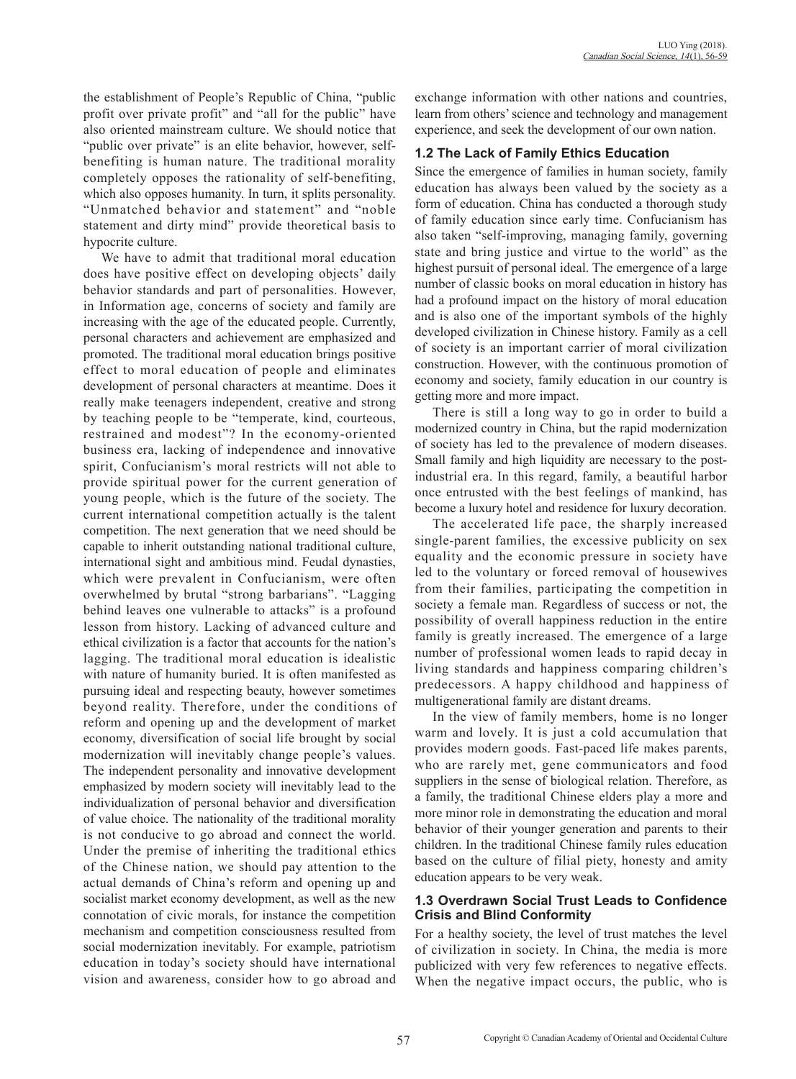the establishment of People's Republic of China, "public profit over private profit" and "all for the public" have also oriented mainstream culture. We should notice that "public over private" is an elite behavior, however, selfbenefiting is human nature. The traditional morality completely opposes the rationality of self-benefiting, which also opposes humanity. In turn, it splits personality. "Unmatched behavior and statement" and "noble statement and dirty mind" provide theoretical basis to hypocrite culture.

We have to admit that traditional moral education does have positive effect on developing objects' daily behavior standards and part of personalities. However, in Information age, concerns of society and family are increasing with the age of the educated people. Currently, personal characters and achievement are emphasized and promoted. The traditional moral education brings positive effect to moral education of people and eliminates development of personal characters at meantime. Does it really make teenagers independent, creative and strong by teaching people to be "temperate, kind, courteous, restrained and modest"? In the economy-oriented business era, lacking of independence and innovative spirit, Confucianism's moral restricts will not able to provide spiritual power for the current generation of young people, which is the future of the society. The current international competition actually is the talent competition. The next generation that we need should be capable to inherit outstanding national traditional culture, international sight and ambitious mind. Feudal dynasties, which were prevalent in Confucianism, were often overwhelmed by brutal "strong barbarians". "Lagging behind leaves one vulnerable to attacks" is a profound lesson from history. Lacking of advanced culture and ethical civilization is a factor that accounts for the nation's lagging. The traditional moral education is idealistic with nature of humanity buried. It is often manifested as pursuing ideal and respecting beauty, however sometimes beyond reality. Therefore, under the conditions of reform and opening up and the development of market economy, diversification of social life brought by social modernization will inevitably change people's values. The independent personality and innovative development emphasized by modern society will inevitably lead to the individualization of personal behavior and diversification of value choice. The nationality of the traditional morality is not conducive to go abroad and connect the world. Under the premise of inheriting the traditional ethics of the Chinese nation, we should pay attention to the actual demands of China's reform and opening up and socialist market economy development, as well as the new connotation of civic morals, for instance the competition mechanism and competition consciousness resulted from social modernization inevitably. For example, patriotism education in today's society should have international vision and awareness, consider how to go abroad and exchange information with other nations and countries, learn from others' science and technology and management experience, and seek the development of our own nation.

#### **1.2 The Lack of Family Ethics Education**

Since the emergence of families in human society, family education has always been valued by the society as a form of education. China has conducted a thorough study of family education since early time. Confucianism has also taken "self-improving, managing family, governing state and bring justice and virtue to the world" as the highest pursuit of personal ideal. The emergence of a large number of classic books on moral education in history has had a profound impact on the history of moral education and is also one of the important symbols of the highly developed civilization in Chinese history. Family as a cell of society is an important carrier of moral civilization construction. However, with the continuous promotion of economy and society, family education in our country is getting more and more impact.

There is still a long way to go in order to build a modernized country in China, but the rapid modernization of society has led to the prevalence of modern diseases. Small family and high liquidity are necessary to the postindustrial era. In this regard, family, a beautiful harbor once entrusted with the best feelings of mankind, has become a luxury hotel and residence for luxury decoration.

The accelerated life pace, the sharply increased single-parent families, the excessive publicity on sex equality and the economic pressure in society have led to the voluntary or forced removal of housewives from their families, participating the competition in society a female man. Regardless of success or not, the possibility of overall happiness reduction in the entire family is greatly increased. The emergence of a large number of professional women leads to rapid decay in living standards and happiness comparing children's predecessors. A happy childhood and happiness of multigenerational family are distant dreams.

In the view of family members, home is no longer warm and lovely. It is just a cold accumulation that provides modern goods. Fast-paced life makes parents, who are rarely met, gene communicators and food suppliers in the sense of biological relation. Therefore, as a family, the traditional Chinese elders play a more and more minor role in demonstrating the education and moral behavior of their younger generation and parents to their children. In the traditional Chinese family rules education based on the culture of filial piety, honesty and amity education appears to be very weak.

#### **1.3 Overdrawn Social Trust Leads to Confidence Crisis and Blind Conformity**

For a healthy society, the level of trust matches the level of civilization in society. In China, the media is more publicized with very few references to negative effects. When the negative impact occurs, the public, who is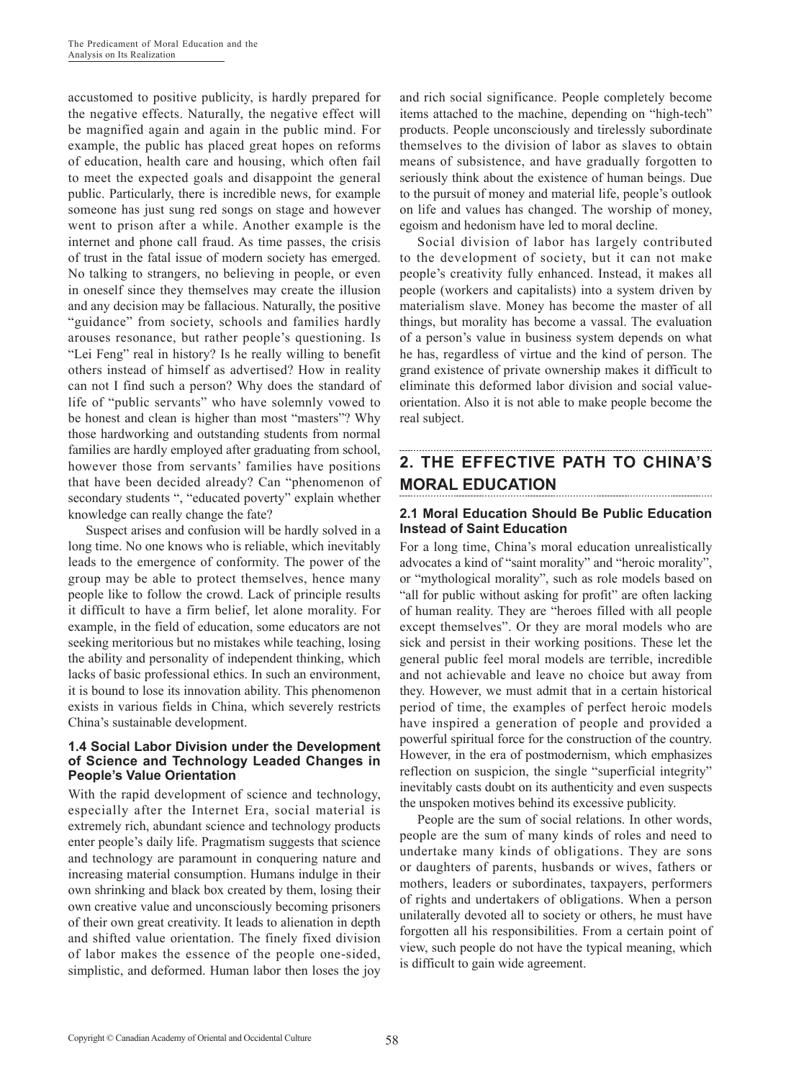accustomed to positive publicity, is hardly prepared for the negative effects. Naturally, the negative effect will be magnified again and again in the public mind. For example, the public has placed great hopes on reforms of education, health care and housing, which often fail to meet the expected goals and disappoint the general public. Particularly, there is incredible news, for example someone has just sung red songs on stage and however went to prison after a while. Another example is the internet and phone call fraud. As time passes, the crisis of trust in the fatal issue of modern society has emerged. No talking to strangers, no believing in people, or even in oneself since they themselves may create the illusion and any decision may be fallacious. Naturally, the positive "guidance" from society, schools and families hardly arouses resonance, but rather people's questioning. Is "Lei Feng" real in history? Is he really willing to benefit others instead of himself as advertised? How in reality can not I find such a person? Why does the standard of life of "public servants" who have solemnly vowed to be honest and clean is higher than most "masters"? Why those hardworking and outstanding students from normal families are hardly employed after graduating from school, however those from servants' families have positions that have been decided already? Can "phenomenon of secondary students ", "educated poverty" explain whether knowledge can really change the fate?

Suspect arises and confusion will be hardly solved in a long time. No one knows who is reliable, which inevitably leads to the emergence of conformity. The power of the group may be able to protect themselves, hence many people like to follow the crowd. Lack of principle results it difficult to have a firm belief, let alone morality. For example, in the field of education, some educators are not seeking meritorious but no mistakes while teaching, losing the ability and personality of independent thinking, which lacks of basic professional ethics. In such an environment, it is bound to lose its innovation ability. This phenomenon exists in various fields in China, which severely restricts China's sustainable development.

#### **1.4 Social Labor Division under the Development of Science and Technology Leaded Changes in People's Value Orientation**

With the rapid development of science and technology, especially after the Internet Era, social material is extremely rich, abundant science and technology products enter people's daily life. Pragmatism suggests that science and technology are paramount in conquering nature and increasing material consumption. Humans indulge in their own shrinking and black box created by them, losing their own creative value and unconsciously becoming prisoners of their own great creativity. It leads to alienation in depth and shifted value orientation. The finely fixed division of labor makes the essence of the people one-sided, simplistic, and deformed. Human labor then loses the joy

and rich social significance. People completely become items attached to the machine, depending on "high-tech" products. People unconsciously and tirelessly subordinate themselves to the division of labor as slaves to obtain means of subsistence, and have gradually forgotten to seriously think about the existence of human beings. Due to the pursuit of money and material life, people's outlook on life and values has changed. The worship of money, egoism and hedonism have led to moral decline.

Social division of labor has largely contributed to the development of society, but it can not make people's creativity fully enhanced. Instead, it makes all people (workers and capitalists) into a system driven by materialism slave. Money has become the master of all things, but morality has become a vassal. The evaluation of a person's value in business system depends on what he has, regardless of virtue and the kind of person. The grand existence of private ownership makes it difficult to eliminate this deformed labor division and social valueorientation. Also it is not able to make people become the real subject.

#### **2. The Effective Path to China's Moral Education**

#### **2.1 Moral Education Should Be Public Education Instead of Saint Education**

For a long time, China's moral education unrealistically advocates a kind of "saint morality" and "heroic morality", or "mythological morality", such as role models based on "all for public without asking for profit" are often lacking of human reality. They are "heroes filled with all people except themselves". Or they are moral models who are sick and persist in their working positions. These let the general public feel moral models are terrible, incredible and not achievable and leave no choice but away from they. However, we must admit that in a certain historical period of time, the examples of perfect heroic models have inspired a generation of people and provided a powerful spiritual force for the construction of the country. However, in the era of postmodernism, which emphasizes reflection on suspicion, the single "superficial integrity" inevitably casts doubt on its authenticity and even suspects the unspoken motives behind its excessive publicity.

People are the sum of social relations. In other words, people are the sum of many kinds of roles and need to undertake many kinds of obligations. They are sons or daughters of parents, husbands or wives, fathers or mothers, leaders or subordinates, taxpayers, performers of rights and undertakers of obligations. When a person unilaterally devoted all to society or others, he must have forgotten all his responsibilities. From a certain point of view, such people do not have the typical meaning, which is difficult to gain wide agreement.